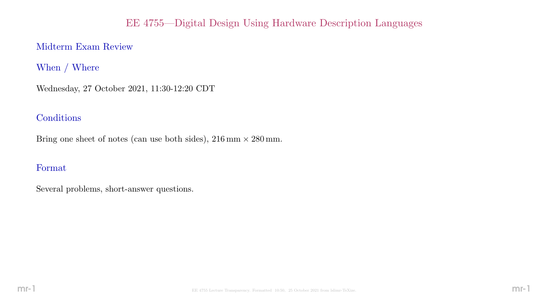# EE 4755—Digital Design Using Hardware Description Languages

# Midterm Exam Review

When / Where

Wednesday, 27 October 2021, 11:30-12:20 CDT

### **Conditions**

Bring one sheet of notes (can use both sides),  $216 \text{ mm} \times 280 \text{ mm}$ .

### Format

Several problems, short-answer questions.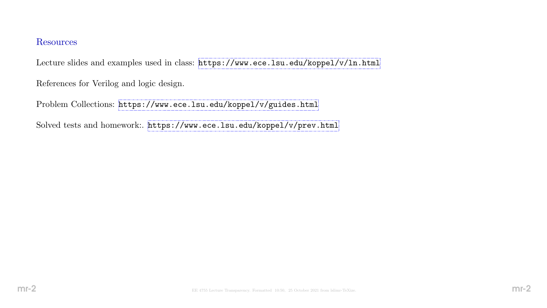#### Resources

Lecture slides and examples used in class: <https://www.ece.lsu.edu/koppel/v/ln.html>

References for Verilog and logic design.

Problem Collections: <https://www.ece.lsu.edu/koppel/v/guides.html>

Solved tests and homework:. <https://www.ece.lsu.edu/koppel/v/prev.html>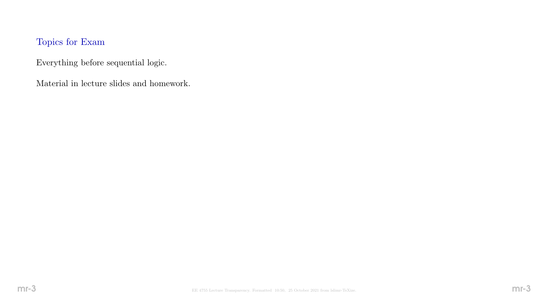# Topics for Exam

Everything before sequential logic.

Material in lecture slides and homework.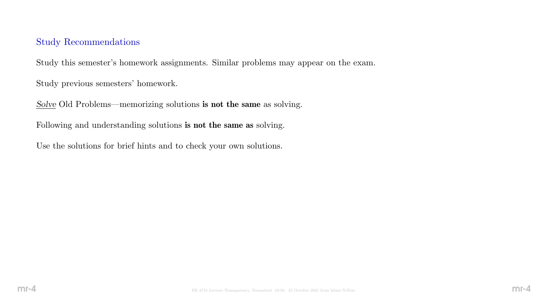#### Study Recommendations

Study this semester's homework assignments. Similar problems may appear on the exam.

Study previous semesters' homework.

Solve Old Problems—memorizing solutions is not the same as solving.

Following and understanding solutions is not the same as solving.

Use the solutions for brief hints and to check your own solutions.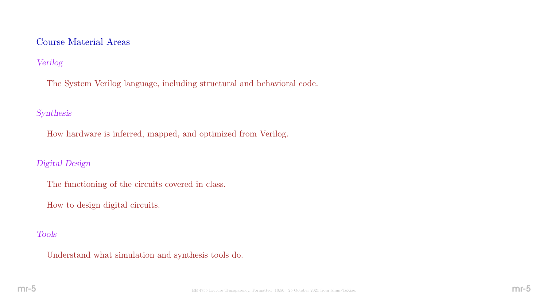#### Course Material Areas

### Verilog

The System Verilog language, including structural and behavioral code.

#### Synthesis

How hardware is inferred, mapped, and optimized from Verilog.

#### Digital Design

- The functioning of the circuits covered in class.
- How to design digital circuits.

#### Tools

Understand what simulation and synthesis tools do.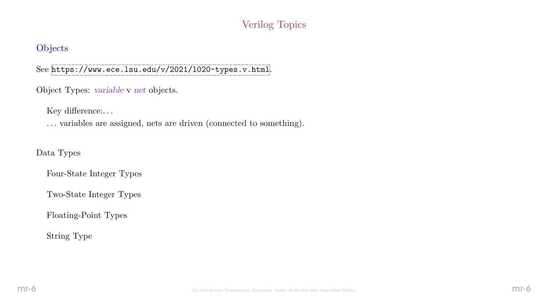# Verilog Topics

### **Objects**

See <https://www.ece.lsu.edu/v/2021/l020-types.v.html>.

Object Types: variable v net objects.

Key difference:...

. . . variables are assigned, nets are driven (connected to something).

Data Types

Four-State Integer Types

Two-State Integer Types

Floating-Point Types

String Type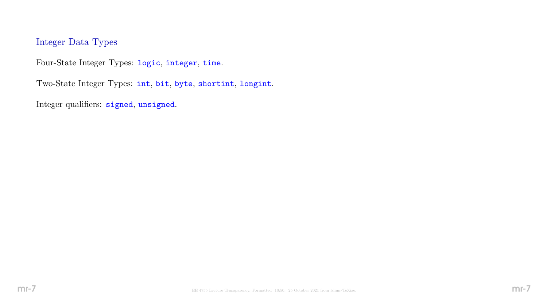### Integer Data Types

Four-State Integer Types: logic, integer, time.

Two-State Integer Types: int, bit, byte, shortint, longint.

Integer qualifiers: signed, unsigned.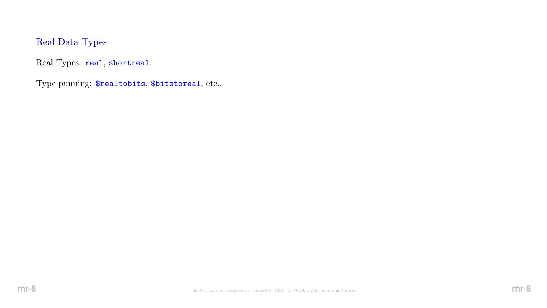# Real Data Types

Real Types: real, shortreal.

Type punning: \$realtobits, \$bitstoreal, etc..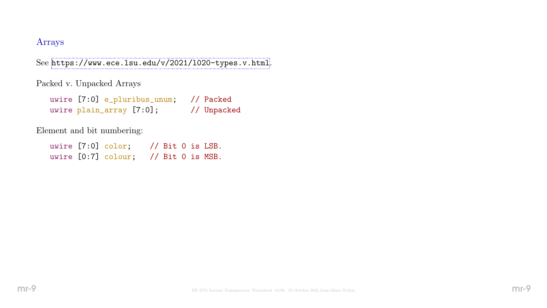#### Arrays

See <https://www.ece.lsu.edu/v/2021/l020-types.v.html>.

Packed v. Unpacked Arrays

|  | uwire [7:0] e_pluribus_unum; // Packed |             |
|--|----------------------------------------|-------------|
|  | uwire plain_array [7:0];               | // Unpacked |

Element and bit numbering:

uwire [7:0] color; // Bit 0 is LSB. uwire [0:7] colour; // Bit 0 is MSB.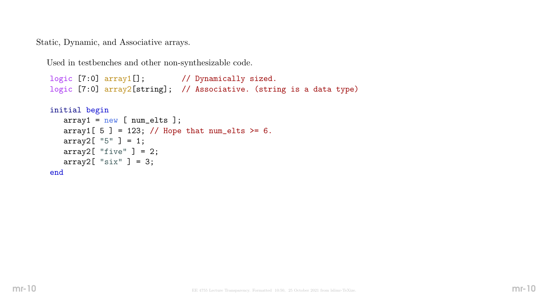Static, Dynamic, and Associative arrays.

Used in testbenches and other non-synthesizable code.

```
logic [7:0] array1[]; // Dynamically sized.
logic [7:0] array2[string]; // Associative. (string is a data type)
initial begin
   array1 = new [num_elts ];
  array1[5] = 123; // Hope that num_elts >= 6.
   array2[ "5" ] = 1;
  array2[ "five" ] = 2;
  array2[ "six" ] = 3;
```
end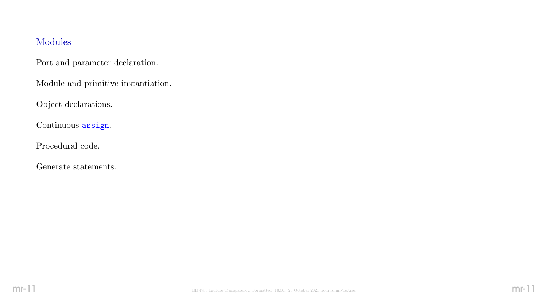# Modules

Port and parameter declaration.

Module and primitive instantiation.

Object declarations.

Continuous assign.

Procedural code.

Generate statements.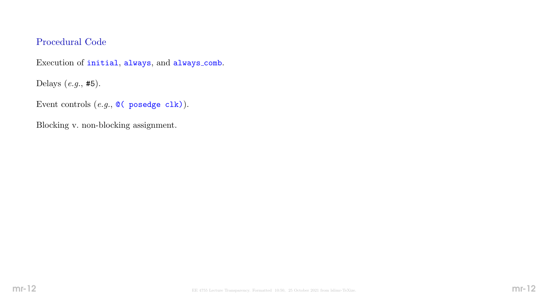### Procedural Code

Execution of initial, always, and always comb.

Delays (e.g., #5).

Event controls  $(e.g., \mathbb{Q}(\text{posedge } \text{clk})).$ 

Blocking v. non-blocking assignment.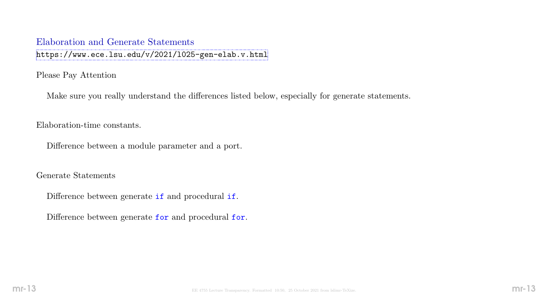#### Elaboration and Generate Statements

<https://www.ece.lsu.edu/v/2021/l025-gen-elab.v.html>

Please Pay Attention

Make sure you really understand the differences listed below, especially for generate statements.

Elaboration-time constants.

Difference between a module parameter and a port.

Generate Statements

Difference between generate if and procedural if.

Difference between generate for and procedural for.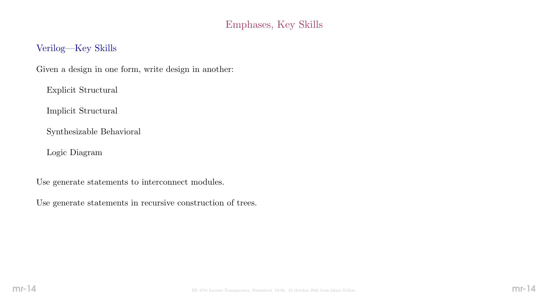# Emphases, Key Skills

### Verilog—Key Skills

Given a design in one form, write design in another:

Explicit Structural

Implicit Structural

Synthesizable Behavioral

Logic Diagram

Use generate statements to interconnect modules.

Use generate statements in recursive construction of trees.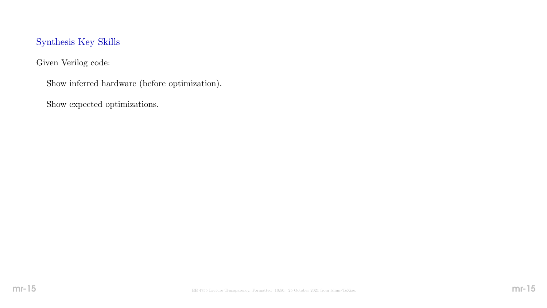### Synthesis Key Skills

Given Verilog code:

Show inferred hardware (before optimization).

Show expected optimizations.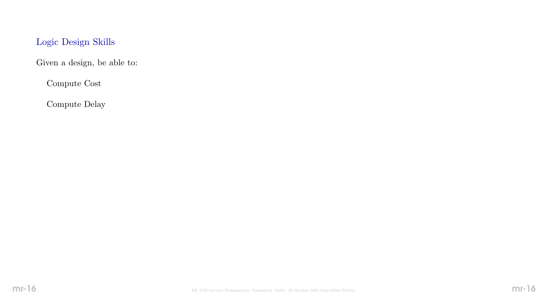# Logic Design Skills

Given a design, be able to:

Compute Cost

Compute Delay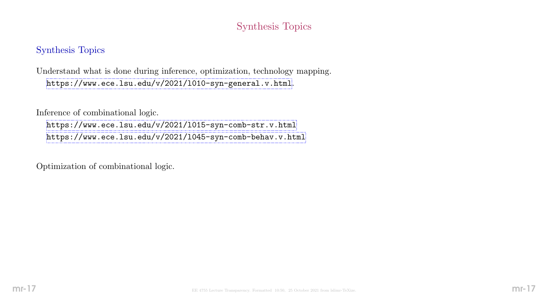# Synthesis Topics

### Synthesis Topics

Understand what is done during inference, optimization, technology mapping. <https://www.ece.lsu.edu/v/2021/l010-syn-general.v.html>.

Inference of combinational logic.

<https://www.ece.lsu.edu/v/2021/l015-syn-comb-str.v.html> <https://www.ece.lsu.edu/v/2021/l045-syn-comb-behav.v.html>

Optimization of combinational logic.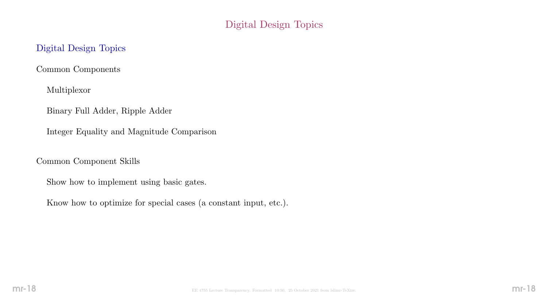# Digital Design Topics

### Digital Design Topics

Common Components

Multiplexor

Binary Full Adder, Ripple Adder

Integer Equality and Magnitude Comparison

Common Component Skills

Show how to implement using basic gates.

Know how to optimize for special cases (a constant input, etc.).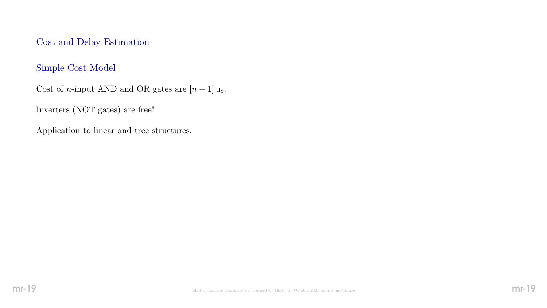Cost and Delay Estimation

### Simple Cost Model

Cost of n-input AND and OR gates are  $[n-1]$ u<sub>c</sub>.

Inverters (NOT gates) are free!

Application to linear and tree structures.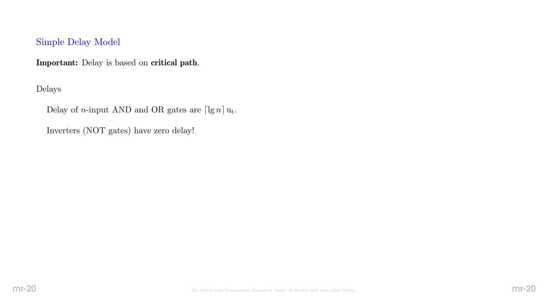### Simple Delay Model

Important: Delay is based on critical path.

Delays

Delay of *n*-input AND and OR gates are  $\lceil \lg n \rceil u_t$ .

Inverters (NOT gates) have zero delay!